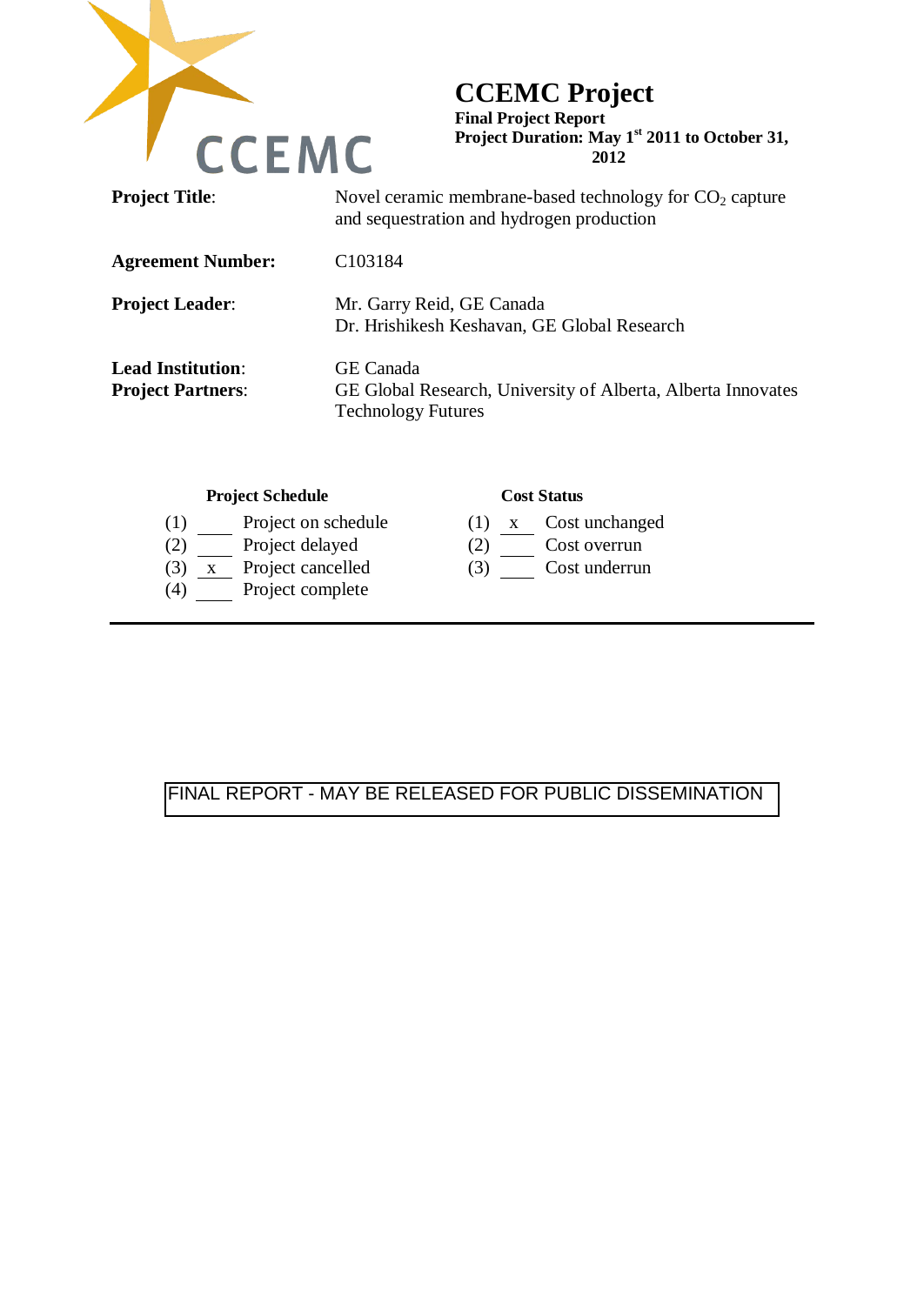

# **CCEMC Project**

**Final Project Report Project Duration: May 1st 2011 to October 31, 2012** 

| <b>Project Title:</b>                                | Novel ceramic membrane-based technology for $CO2$ capture<br>and sequestration and hydrogen production        |  |  |  |  |  |
|------------------------------------------------------|---------------------------------------------------------------------------------------------------------------|--|--|--|--|--|
| <b>Agreement Number:</b>                             | C <sub>103184</sub>                                                                                           |  |  |  |  |  |
| <b>Project Leader:</b>                               | Mr. Garry Reid, GE Canada<br>Dr. Hrishikesh Keshavan, GE Global Research                                      |  |  |  |  |  |
| <b>Lead Institution:</b><br><b>Project Partners:</b> | <b>GE</b> Canada<br>GE Global Research, University of Alberta, Alberta Innovates<br><b>Technology Futures</b> |  |  |  |  |  |

### **Project Schedule Cost Status**

- (1) Project on schedule (1)  $\frac{x}{2}$  Cost unchanged (2) Cost overrun
- $(2)$  Project delayed
- (3) x Project cancelled (3) Cost underrun
- (4) Project complete

- 
- 
- 

# FINAL REPORT - MAY BE RELEASED FOR PUBLIC DISSEMINATION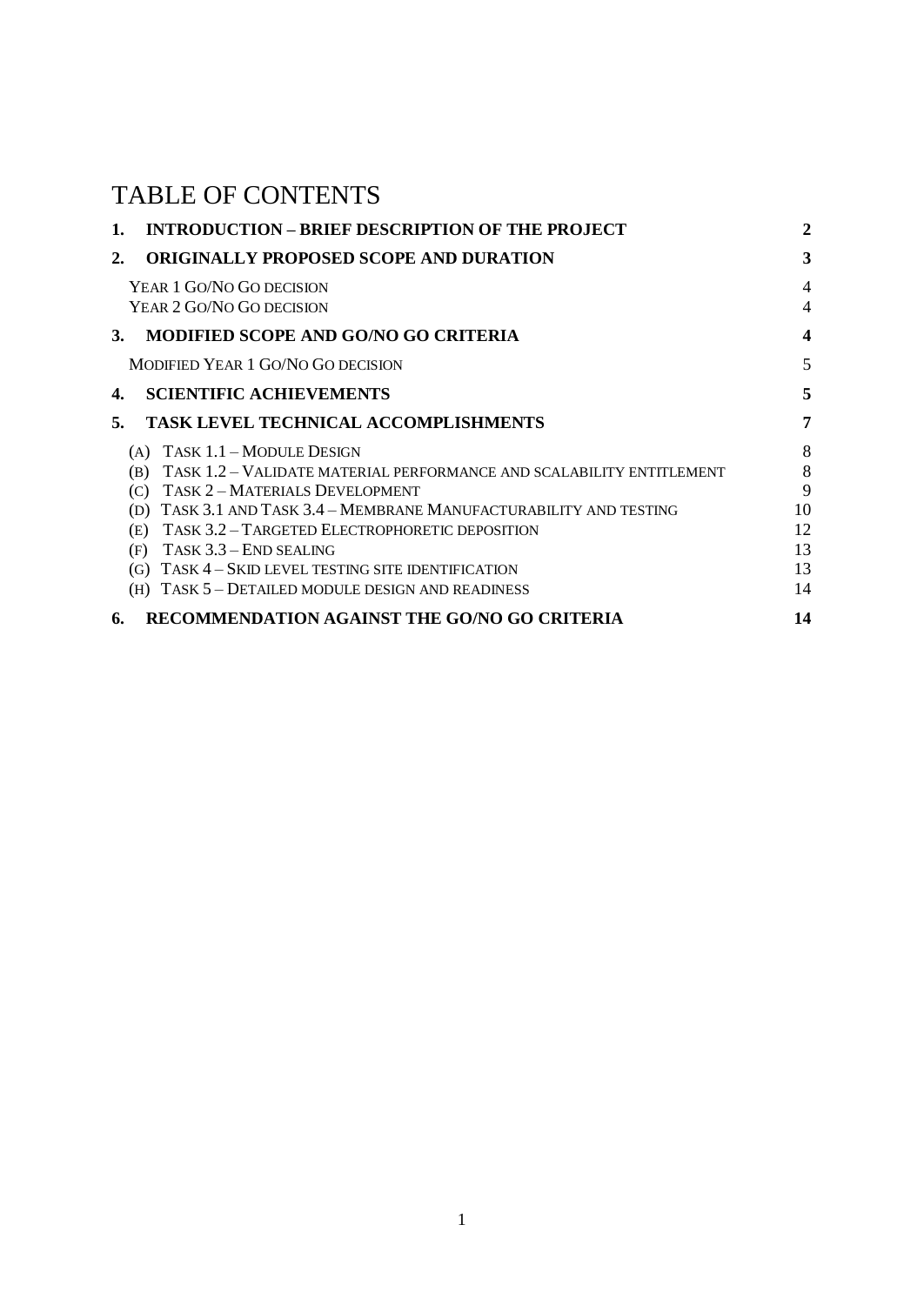# TABLE OF CONTENTS

| 1. | <b>INTRODUCTION – BRIEF DESCRIPTION OF THE PROJECT</b>                      |                  |  |  |
|----|-----------------------------------------------------------------------------|------------------|--|--|
| 2. | <b>ORIGINALLY PROPOSED SCOPE AND DURATION</b>                               |                  |  |  |
|    | YEAR 1 GO/NO GO DECISION                                                    | $\overline{4}$   |  |  |
|    | YEAR 2 GO/NO GO DECISION                                                    | $\overline{4}$   |  |  |
| 3. | MODIFIED SCOPE AND GO/NO GO CRITERIA                                        | $\boldsymbol{4}$ |  |  |
|    | MODIFIED YEAR 1 GO/NO GO DECISION                                           | 5                |  |  |
| 4. | <b>SCIENTIFIC ACHIEVEMENTS</b>                                              | 5                |  |  |
| 5. | <b>TASK LEVEL TECHNICAL ACCOMPLISHMENTS</b>                                 | $\overline{7}$   |  |  |
|    | (A) TASK $1.1 - \text{MODULE}$ DESIGN                                       | 8                |  |  |
|    | TASK 1.2 - VALIDATE MATERIAL PERFORMANCE AND SCALABILITY ENTITLEMENT<br>(B) | 8                |  |  |
|    | TASK 2 - MATERIALS DEVELOPMENT<br>(C)                                       | 9                |  |  |
|    | (D) TASK 3.1 AND TASK 3.4 - MEMBRANE MANUFACTURABILITY AND TESTING          | 10               |  |  |
|    | (E) TASK 3.2 - TARGETED ELECTROPHORETIC DEPOSITION                          | 12               |  |  |
|    | TASK 3.3 - END SEALING<br>(F)                                               | 13               |  |  |
|    | TASK 4 – SKID LEVEL TESTING SITE IDENTIFICATION<br>(G)                      | 13               |  |  |
|    | TASK 5 - DETAILED MODULE DESIGN AND READINESS<br>(H)                        | 14               |  |  |
| 6. | RECOMMENDATION AGAINST THE GO/NO GO CRITERIA                                | 14               |  |  |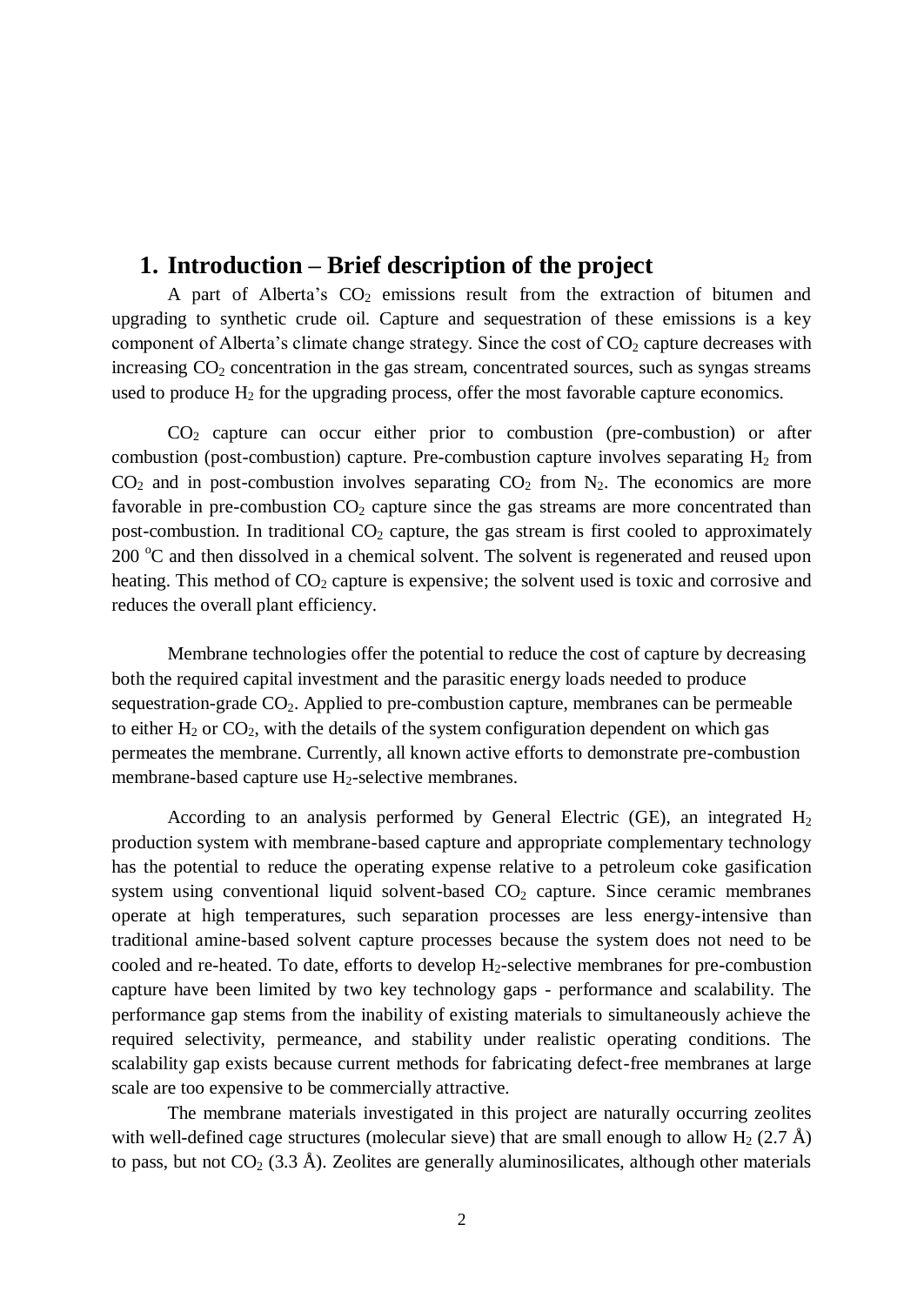# **1. Introduction – Brief description of the project**

A part of Alberta's  $CO<sub>2</sub>$  emissions result from the extraction of bitumen and upgrading to synthetic crude oil. Capture and sequestration of these emissions is a key component of Alberta's climate change strategy. Since the cost of  $CO<sub>2</sub>$  capture decreases with increasing  $CO<sub>2</sub>$  concentration in the gas stream, concentrated sources, such as syngas streams used to produce  $H_2$  for the upgrading process, offer the most favorable capture economics.

 $CO<sub>2</sub>$  capture can occur either prior to combustion (pre-combustion) or after combustion (post-combustion) capture. Pre-combustion capture involves separating  $H_2$  from  $CO<sub>2</sub>$  and in post-combustion involves separating  $CO<sub>2</sub>$  from N<sub>2</sub>. The economics are more favorable in pre-combustion  $CO<sub>2</sub>$  capture since the gas streams are more concentrated than post-combustion. In traditional  $CO<sub>2</sub>$  capture, the gas stream is first cooled to approximately  $200^{\circ}$ C and then dissolved in a chemical solvent. The solvent is regenerated and reused upon heating. This method of  $CO<sub>2</sub>$  capture is expensive; the solvent used is toxic and corrosive and reduces the overall plant efficiency.

Membrane technologies offer the potential to reduce the cost of capture by decreasing both the required capital investment and the parasitic energy loads needed to produce sequestration-grade  $CO<sub>2</sub>$ . Applied to pre-combustion capture, membranes can be permeable to either  $H_2$  or  $CO_2$ , with the details of the system configuration dependent on which gas permeates the membrane. Currently, all known active efforts to demonstrate pre-combustion membrane-based capture use  $H_2$ -selective membranes.

According to an analysis performed by General Electric (GE), an integrated  $H_2$ production system with membrane-based capture and appropriate complementary technology has the potential to reduce the operating expense relative to a petroleum coke gasification system using conventional liquid solvent-based  $CO<sub>2</sub>$  capture. Since ceramic membranes operate at high temperatures, such separation processes are less energy-intensive than traditional amine-based solvent capture processes because the system does not need to be cooled and re-heated. To date, efforts to develop  $H_2$ -selective membranes for pre-combustion capture have been limited by two key technology gaps - performance and scalability. The performance gap stems from the inability of existing materials to simultaneously achieve the required selectivity, permeance, and stability under realistic operating conditions. The scalability gap exists because current methods for fabricating defect-free membranes at large scale are too expensive to be commercially attractive.

The membrane materials investigated in this project are naturally occurring zeolites with well-defined cage structures (molecular sieve) that are small enough to allow  $H_2$  (2.7 Å) to pass, but not  $CO_2$  (3.3 Å). Zeolites are generally aluminosilicates, although other materials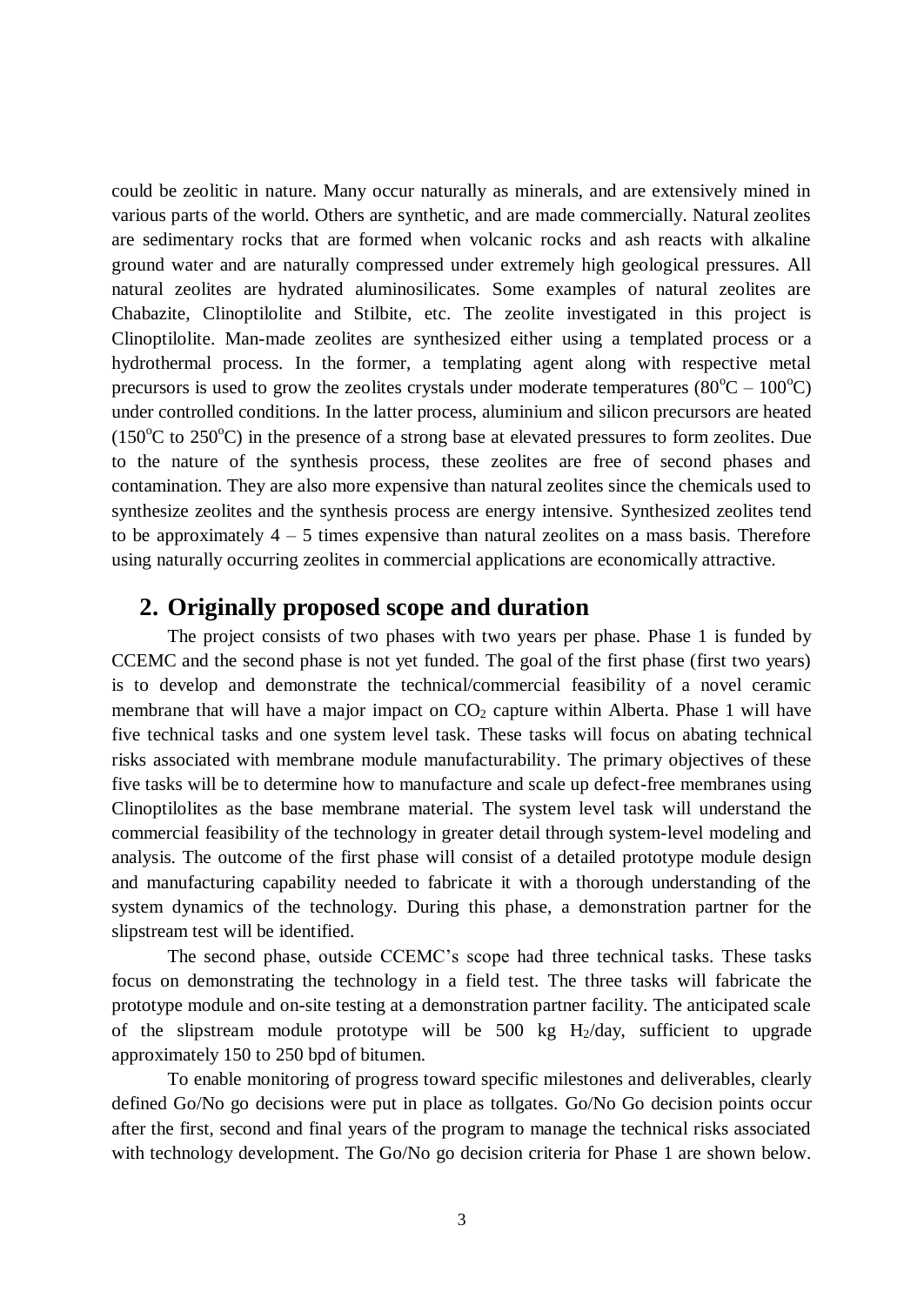could be zeolitic in nature. Many occur naturally as minerals, and are extensively mined in various parts of the world. Others are synthetic, and are made commercially. Natural zeolites are sedimentary rocks that are formed when volcanic rocks and ash reacts with alkaline ground water and are naturally compressed under extremely high geological pressures. All natural zeolites are hydrated aluminosilicates. Some examples of natural zeolites are Chabazite, Clinoptilolite and Stilbite, etc. The zeolite investigated in this project is Clinoptilolite. Man-made zeolites are synthesized either using a templated process or a hydrothermal process. In the former, a templating agent along with respective metal precursors is used to grow the zeolites crystals under moderate temperatures ( $80^{\circ}$ C –  $100^{\circ}$ C) under controlled conditions. In the latter process, aluminium and silicon precursors are heated (150 $\degree$ C to 250 $\degree$ C) in the presence of a strong base at elevated pressures to form zeolites. Due to the nature of the synthesis process, these zeolites are free of second phases and contamination. They are also more expensive than natural zeolites since the chemicals used to synthesize zeolites and the synthesis process are energy intensive. Synthesized zeolites tend to be approximately  $4 - 5$  times expensive than natural zeolites on a mass basis. Therefore using naturally occurring zeolites in commercial applications are economically attractive.

# **2. Originally proposed scope and duration**

The project consists of two phases with two years per phase. Phase 1 is funded by CCEMC and the second phase is not yet funded. The goal of the first phase (first two years) is to develop and demonstrate the technical/commercial feasibility of a novel ceramic membrane that will have a major impact on  $CO<sub>2</sub>$  capture within Alberta. Phase 1 will have five technical tasks and one system level task. These tasks will focus on abating technical risks associated with membrane module manufacturability. The primary objectives of these five tasks will be to determine how to manufacture and scale up defect-free membranes using Clinoptilolites as the base membrane material. The system level task will understand the commercial feasibility of the technology in greater detail through system-level modeling and analysis. The outcome of the first phase will consist of a detailed prototype module design and manufacturing capability needed to fabricate it with a thorough understanding of the system dynamics of the technology. During this phase, a demonstration partner for the slipstream test will be identified.

The second phase, outside CCEMC's scope had three technical tasks. These tasks focus on demonstrating the technology in a field test. The three tasks will fabricate the prototype module and on-site testing at a demonstration partner facility. The anticipated scale of the slipstream module prototype will be 500 kg  $H<sub>2</sub>/day$ , sufficient to upgrade approximately 150 to 250 bpd of bitumen.

To enable monitoring of progress toward specific milestones and deliverables, clearly defined Go/No go decisions were put in place as tollgates. Go/No Go decision points occur after the first, second and final years of the program to manage the technical risks associated with technology development. The Go/No go decision criteria for Phase 1 are shown below.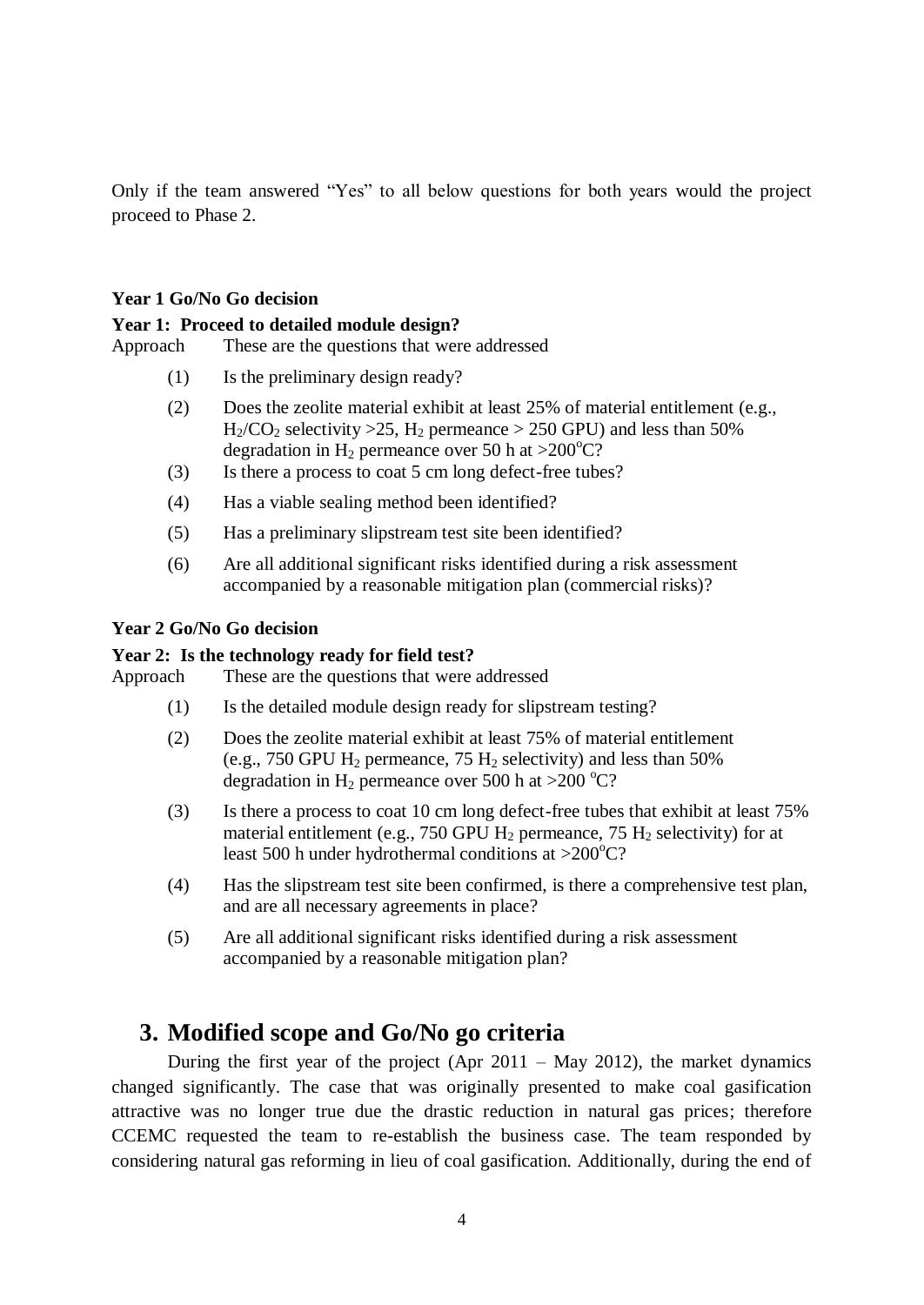Only if the team answered "Yes" to all below questions for both years would the project proceed to Phase 2.

# **Year 1 Go/No Go decision**

# **Year 1: Proceed to detailed module design?**

Approach These are the questions that were addressed

- (1) Is the preliminary design ready?
- (2) Does the zeolite material exhibit at least 25% of material entitlement (e.g.,  $H_2/CO_2$  selectivity > 25,  $H_2$  permeance > 250 GPU) and less than 50% degradation in H<sub>2</sub> permeance over 50 h at >200<sup>o</sup>C?
- (3) Is there a process to coat 5 cm long defect-free tubes?
- (4) Has a viable sealing method been identified?
- (5) Has a preliminary slipstream test site been identified?
- (6) Are all additional significant risks identified during a risk assessment accompanied by a reasonable mitigation plan (commercial risks)?

# **Year 2 Go/No Go decision**

# **Year 2: Is the technology ready for field test?**

Approach These are the questions that were addressed

- (1) Is the detailed module design ready for slipstream testing?
- (2) Does the zeolite material exhibit at least 75% of material entitlement (e.g., 750 GPU  $H_2$  permeance, 75  $H_2$  selectivity) and less than 50% degradation in H<sub>2</sub> permeance over 500 h at >200 °C?
- (3) Is there a process to coat 10 cm long defect-free tubes that exhibit at least 75% material entitlement (e.g., 750 GPU  $H_2$  permeance, 75  $H_2$  selectivity) for at least 500 h under hydrothermal conditions at  $>200^{\circ}$ C?
- (4) Has the slipstream test site been confirmed, is there a comprehensive test plan, and are all necessary agreements in place?
- (5) Are all additional significant risks identified during a risk assessment accompanied by a reasonable mitigation plan?

# **3. Modified scope and Go/No go criteria**

During the first year of the project (Apr  $2011 - May 2012$ ), the market dynamics changed significantly. The case that was originally presented to make coal gasification attractive was no longer true due the drastic reduction in natural gas prices; therefore CCEMC requested the team to re-establish the business case. The team responded by considering natural gas reforming in lieu of coal gasification. Additionally, during the end of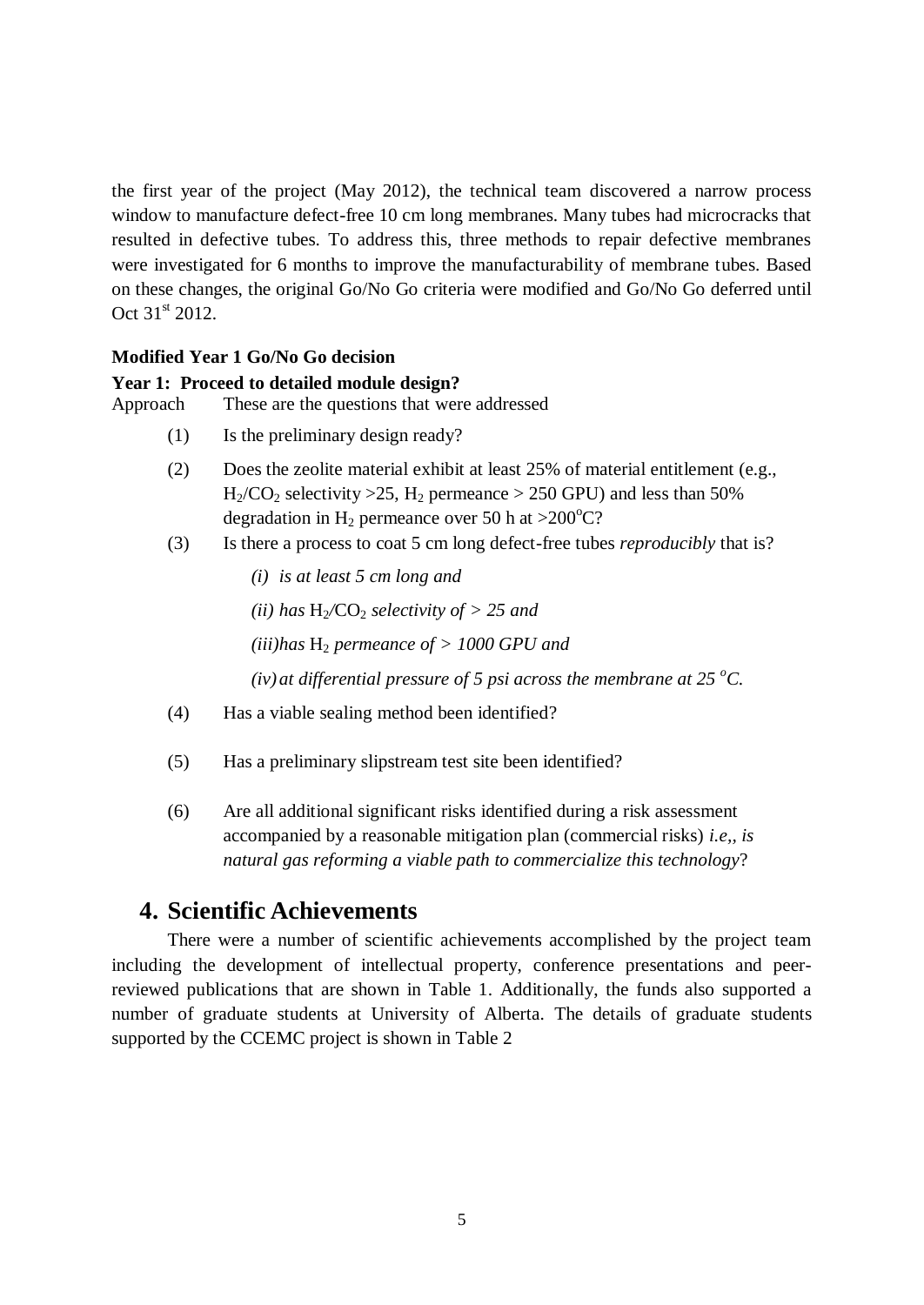the first year of the project (May 2012), the technical team discovered a narrow process window to manufacture defect-free 10 cm long membranes. Many tubes had microcracks that resulted in defective tubes. To address this, three methods to repair defective membranes were investigated for 6 months to improve the manufacturability of membrane tubes. Based on these changes, the original Go/No Go criteria were modified and Go/No Go deferred until Oct  $31^{st}$  2012.

### **Modified Year 1 Go/No Go decision**

### **Year 1: Proceed to detailed module design?**

Approach These are the questions that were addressed

- (1) Is the preliminary design ready?
- (2) Does the zeolite material exhibit at least 25% of material entitlement (e.g.,  $H_2/CO_2$  selectivity > 25,  $H_2$  permeance > 250 GPU) and less than 50% degradation in H<sub>2</sub> permeance over 50 h at  $>200^{\circ}$ C?
- (3) Is there a process to coat 5 cm long defect-free tubes *reproducibly* that is?
	- *(i) is at least 5 cm long and*
	- *(ii)* has  $H_2$ /CO<sub>2</sub> *selectivity of > 25 and*
	- $(iii)$ has  $H_2$  *permeance of > 1000 GPU and*
	- *(iv) at differential pressure of 5 psi across the membrane at 25*  $^{\circ}$ *C.*
- (4) Has a viable sealing method been identified?
- (5) Has a preliminary slipstream test site been identified?
- (6) Are all additional significant risks identified during a risk assessment accompanied by a reasonable mitigation plan (commercial risks) *i.e,, is natural gas reforming a viable path to commercialize this technology*?

# **4. Scientific Achievements**

There were a number of scientific achievements accomplished by the project team including the development of intellectual property, conference presentations and peerreviewed publications that are shown in [Table 1.](#page-6-0) Additionally, the funds also supported a number of graduate students at University of Alberta. The details of graduate students supported by the CCEMC project is shown in [Table 2](#page-7-0)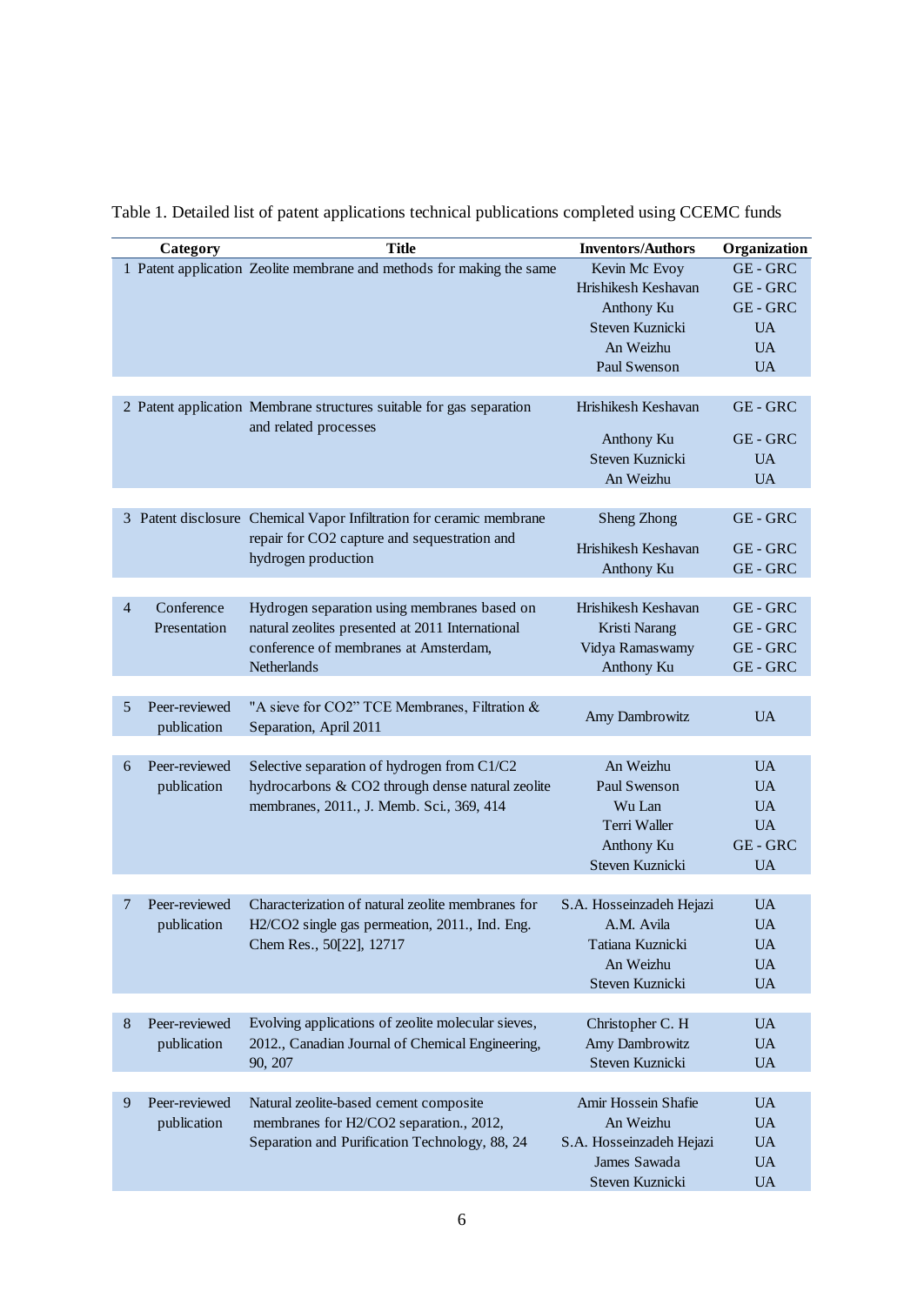|                | Category      | <b>Title</b><br><b>Inventors/Authors</b>                                                                             |                                      |                               |  |  |  |
|----------------|---------------|----------------------------------------------------------------------------------------------------------------------|--------------------------------------|-------------------------------|--|--|--|
|                |               | 1 Patent application Zeolite membrane and methods for making the same                                                | Kevin Mc Evoy                        | Organization<br><b>GE-GRC</b> |  |  |  |
|                |               |                                                                                                                      | Hrishikesh Keshavan                  | <b>GE-GRC</b>                 |  |  |  |
|                |               |                                                                                                                      | Anthony Ku                           | <b>GE-GRC</b>                 |  |  |  |
|                |               |                                                                                                                      | Steven Kuznicki                      | <b>UA</b>                     |  |  |  |
|                |               |                                                                                                                      | An Weizhu                            | <b>UA</b>                     |  |  |  |
|                |               |                                                                                                                      | Paul Swenson                         | <b>UA</b>                     |  |  |  |
|                |               |                                                                                                                      |                                      |                               |  |  |  |
|                |               | Hrishikesh Keshavan<br>2 Patent application Membrane structures suitable for gas separation<br>and related processes |                                      | GE-GRC                        |  |  |  |
|                |               |                                                                                                                      | Anthony Ku                           | GE-GRC                        |  |  |  |
|                |               | Steven Kuznicki                                                                                                      |                                      |                               |  |  |  |
|                |               |                                                                                                                      | An Weizhu                            | <b>UA</b>                     |  |  |  |
|                |               |                                                                                                                      |                                      |                               |  |  |  |
|                |               | 3 Patent disclosure Chemical Vapor Infiltration for ceramic membrane<br>repair for CO2 capture and sequestration and | Sheng Zhong                          | GE-GRC                        |  |  |  |
|                |               | hydrogen production                                                                                                  | Hrishikesh Keshavan                  | GE-GRC                        |  |  |  |
|                |               |                                                                                                                      | Anthony Ku                           | GE-GRC                        |  |  |  |
|                |               |                                                                                                                      |                                      |                               |  |  |  |
| $\overline{4}$ | Conference    | Hydrogen separation using membranes based on                                                                         | Hrishikesh Keshavan                  | GE-GRC                        |  |  |  |
|                | Presentation  | natural zeolites presented at 2011 International                                                                     | Kristi Narang                        | GE-GRC                        |  |  |  |
|                |               | conference of membranes at Amsterdam,                                                                                | Vidya Ramaswamy                      | GE-GRC                        |  |  |  |
|                |               | Netherlands                                                                                                          | Anthony Ku                           | <b>GE-GRC</b>                 |  |  |  |
|                |               |                                                                                                                      |                                      |                               |  |  |  |
| 5              | Peer-reviewed | "A sieve for CO2" TCE Membranes, Filtration &                                                                        | Amy Dambrowitz                       | <b>UA</b>                     |  |  |  |
|                | publication   | Separation, April 2011                                                                                               |                                      |                               |  |  |  |
| 6              | Peer-reviewed | Selective separation of hydrogen from C1/C2                                                                          | An Weizhu                            | <b>UA</b>                     |  |  |  |
|                | publication   | hydrocarbons & CO2 through dense natural zeolite                                                                     | Paul Swenson                         | <b>UA</b>                     |  |  |  |
|                |               | membranes, 2011., J. Memb. Sci., 369, 414                                                                            |                                      | <b>UA</b>                     |  |  |  |
|                |               |                                                                                                                      | Wu Lan<br>Terri Waller<br>Anthony Ku |                               |  |  |  |
|                |               |                                                                                                                      |                                      | <b>UA</b><br><b>GE-GRC</b>    |  |  |  |
|                |               |                                                                                                                      | Steven Kuznicki                      |                               |  |  |  |
|                |               |                                                                                                                      |                                      | <b>UA</b>                     |  |  |  |
| 7              | Peer-reviewed | Characterization of natural zeolite membranes for                                                                    | S.A. Hosseinzadeh Hejazi             | <b>UA</b>                     |  |  |  |
| publication    |               | H2/CO2 single gas permeation, 2011., Ind. Eng.                                                                       | A.M. Avila                           | <b>UA</b>                     |  |  |  |
|                |               | Chem Res., 50[22], 12717                                                                                             | Tatiana Kuznicki                     | UA                            |  |  |  |
|                |               |                                                                                                                      | An Weizhu                            | <b>UA</b>                     |  |  |  |
|                |               |                                                                                                                      | Steven Kuznicki                      | <b>UA</b>                     |  |  |  |
|                |               |                                                                                                                      |                                      |                               |  |  |  |
| 8              | Peer-reviewed | Evolving applications of zeolite molecular sieves,                                                                   | Christopher C. H                     | <b>UA</b>                     |  |  |  |
|                | publication   | 2012., Canadian Journal of Chemical Engineering,                                                                     | Amy Dambrowitz                       | <b>UA</b>                     |  |  |  |
|                |               | 90, 207                                                                                                              | Steven Kuznicki                      | <b>UA</b>                     |  |  |  |
|                |               |                                                                                                                      |                                      |                               |  |  |  |
| 9              | Peer-reviewed | Natural zeolite-based cement composite                                                                               | Amir Hossein Shafie                  | <b>UA</b>                     |  |  |  |
| publication    |               | membranes for H2/CO2 separation., 2012,                                                                              | An Weizhu                            | <b>UA</b>                     |  |  |  |
|                |               | Separation and Purification Technology, 88, 24                                                                       | S.A. Hosseinzadeh Hejazi             | <b>UA</b>                     |  |  |  |
|                |               |                                                                                                                      | James Sawada                         | <b>UA</b>                     |  |  |  |
|                |               |                                                                                                                      | Steven Kuznicki                      | <b>UA</b>                     |  |  |  |

<span id="page-6-0"></span>Table 1. Detailed list of patent applications technical publications completed using CCEMC funds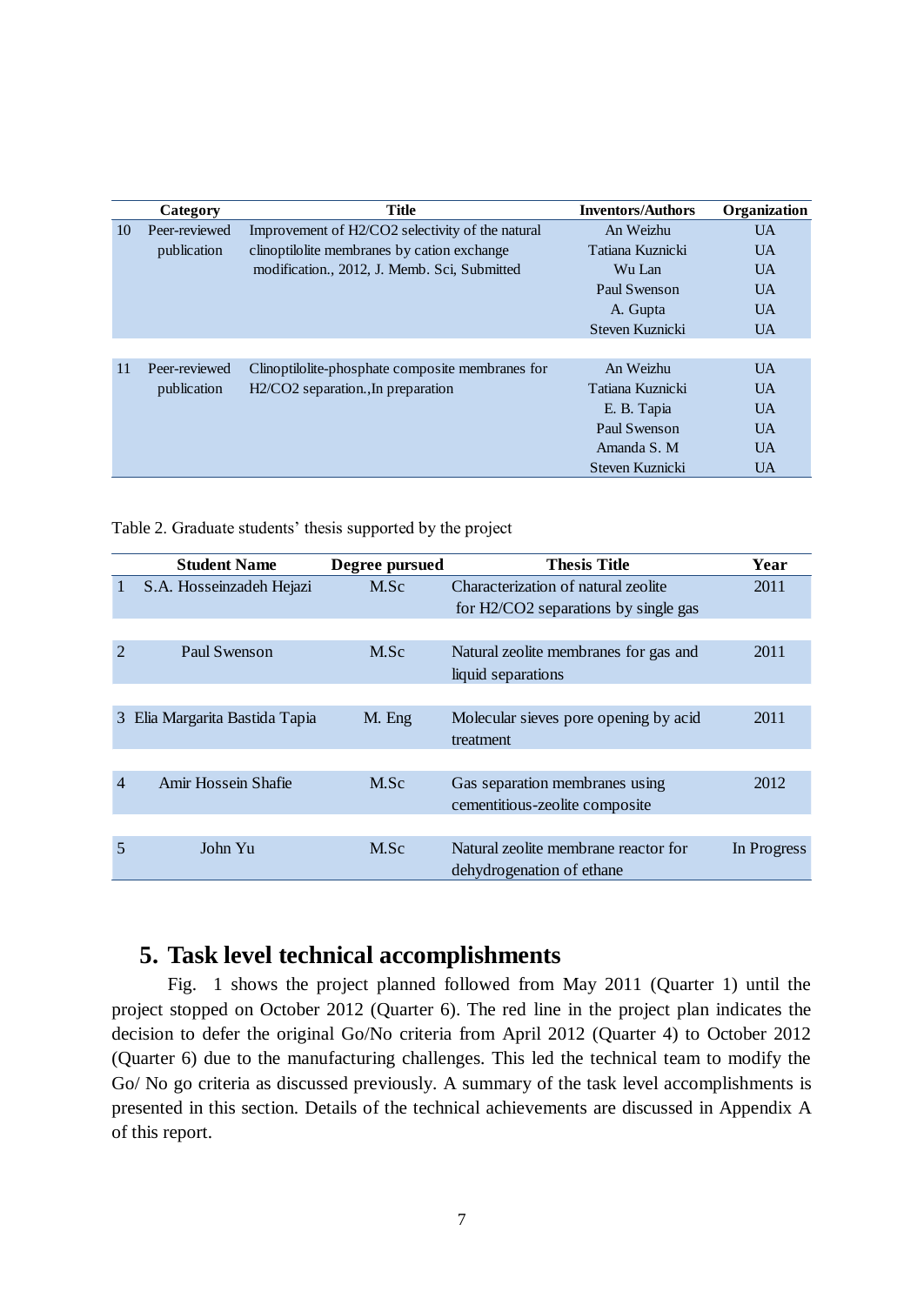|    | Category      | <b>Title</b>                                     | <b>Inventors/Authors</b> | Organization   |
|----|---------------|--------------------------------------------------|--------------------------|----------------|
| 10 | Peer-reviewed | Improvement of H2/CO2 selectivity of the natural | An Weizhu                | <b>UA</b>      |
|    | publication   | clinoptilolite membranes by cation exchange      | Tatiana Kuznicki         | <b>UA</b>      |
|    |               | modification., 2012, J. Memb. Sci, Submitted     | Wu Lan                   | UA <sup></sup> |
|    |               |                                                  | Paul Swenson             | <b>UA</b>      |
|    |               |                                                  | A. Gupta                 | UA <sup></sup> |
|    |               |                                                  | Steven Kuznicki          | <b>UA</b>      |
|    |               |                                                  |                          |                |
| 11 | Peer-reviewed | Clinoptilolite-phosphate composite membranes for | An Weizhu                | $U$ A          |
|    | publication   | $H2/CO2$ separation., In preparation             | Tatiana Kuznicki         | UA <sup></sup> |
|    |               |                                                  | E. B. Tapia              | UA <sup></sup> |
|    |               |                                                  | Paul Swenson             | UA <sup></sup> |
|    |               |                                                  | Amanda S. M              | UA <sup></sup> |
|    |               |                                                  | Steven Kuznicki          | <b>UA</b>      |

<span id="page-7-0"></span>Table 2. Graduate students' thesis supported by the project

|               | <b>Student Name</b>          | Degree pursued | <b>Thesis Title</b>                                                         | Year        |
|---------------|------------------------------|----------------|-----------------------------------------------------------------------------|-------------|
|               | S.A. Hosseinzadeh Hejazi     | M.Sc           | Characterization of natural zeolite<br>for H2/CO2 separations by single gas | 2011        |
|               |                              |                |                                                                             |             |
| $\mathcal{D}$ | Paul Swenson                 | M.Sc           | Natural zeolite membranes for gas and<br>liquid separations                 | 2011        |
|               |                              |                |                                                                             |             |
| 3             | Elia Margarita Bastida Tapia | M. Eng         | Molecular sieves pore opening by acid<br>treatment                          | 2011        |
|               |                              |                |                                                                             |             |
| 4             | Amir Hossein Shafie          | M.Sc           | Gas separation membranes using<br>cementitious-zeolite composite            | 2012        |
|               |                              |                |                                                                             |             |
| 5             | John Yu                      | M.Sc           | Natural zeolite membrane reactor for<br>dehydrogenation of ethane           | In Progress |

# **5. Task level technical accomplishments**

[Fig. 1](#page-8-0) shows the project planned followed from May 2011 (Quarter 1) until the project stopped on October 2012 (Quarter 6). The red line in the project plan indicates the decision to defer the original Go/No criteria from April 2012 (Quarter 4) to October 2012 (Quarter 6) due to the manufacturing challenges. This led the technical team to modify the Go/ No go criteria as discussed previously. A summary of the task level accomplishments is presented in this section. Details of the technical achievements are discussed in Appendix A of this report.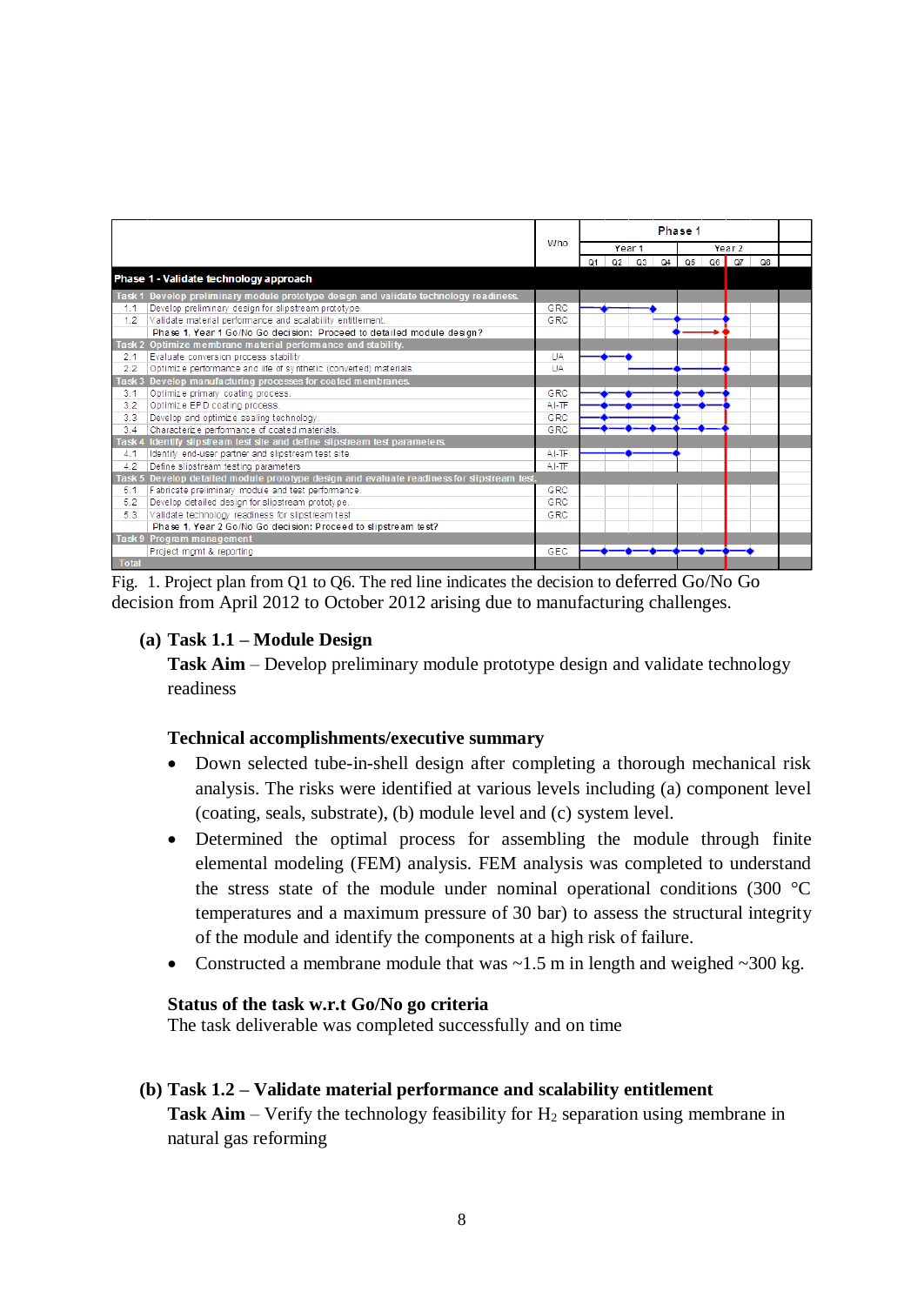|              |                                                                                             |         | Phase 1 |  |           |                   |    |    |          |    |  |
|--------------|---------------------------------------------------------------------------------------------|---------|---------|--|-----------|-------------------|----|----|----------|----|--|
|              |                                                                                             | Who     | Year 1  |  |           | Year <sub>2</sub> |    |    |          |    |  |
|              |                                                                                             |         | Q1      |  | $Q2$ $Q3$ | Q4                | O5 | Q6 | $\Omega$ | Q8 |  |
|              | Phase 1 - Validate technology approach                                                      |         |         |  |           |                   |    |    |          |    |  |
|              | Task 1 Develop preliminary module prototype design and validate technology readiness.       |         |         |  |           |                   |    |    |          |    |  |
| 1.1          | Develop preliminary design for slipstream prototype.                                        | GRC     |         |  |           |                   |    |    |          |    |  |
| 1.2          | Validate material performance and scalability entitlement.                                  | GRC     |         |  |           |                   |    |    |          |    |  |
|              | Phase 1, Year 1 Go/No Go decision: Proceed to detailed module design?                       |         |         |  |           |                   |    |    |          |    |  |
|              | Task 2 Optimize membrane material performance and stability.                                |         |         |  |           |                   |    |    |          |    |  |
| 2.1          | Evaluate conversion process stability.                                                      | UA      |         |  |           |                   |    |    |          |    |  |
| 2.2          | Optimize performance and life of synthetic (converted) materials.                           | UA      |         |  |           |                   |    |    |          |    |  |
|              | Task 3 Develop manufacturing processes for coated membranes.                                |         |         |  |           |                   |    |    |          |    |  |
| 3.1          | Optimize primary coating process.                                                           | GRC     |         |  |           |                   |    |    |          |    |  |
| 3.2          | Optimize EPD coating process.                                                               | $AI-TF$ |         |  |           |                   |    |    |          |    |  |
| 3.3          | Develop and optimize sealing technology.                                                    | GRC     |         |  |           |                   |    |    |          |    |  |
| 3.4          | Characterize performance of coated materials.                                               | GRC     |         |  |           |                   |    |    |          |    |  |
|              | Task 4 Identify slipstream test site and define slipstream test parameters.                 |         |         |  |           |                   |    |    |          |    |  |
| 4.1          | Identify end-user partner and slipstream test site.                                         | $AI-TF$ |         |  |           |                   |    |    |          |    |  |
| 4.2          | Define slipstream testing parameters                                                        | $AI-TF$ |         |  |           |                   |    |    |          |    |  |
|              | Task 5 Develop detailed module prototype design and evaluate readiness for slipstream test. |         |         |  |           |                   |    |    |          |    |  |
| 5.1          | Fabricate preliminary module and test performance.                                          | GRC     |         |  |           |                   |    |    |          |    |  |
| 5.2          | Develop detailed design for slipstream prototype.                                           | GRC     |         |  |           |                   |    |    |          |    |  |
| 5.3          | Validate technology readiness for slipstream test                                           | GRC     |         |  |           |                   |    |    |          |    |  |
|              | Phase 1, Year 2 Go/No Go decision: Proceed to slipstream test?                              |         |         |  |           |                   |    |    |          |    |  |
|              | <b>Task 9 Program management</b>                                                            |         |         |  |           |                   |    |    |          |    |  |
|              | Project mgmt & reporting                                                                    | GEC     |         |  |           |                   |    |    |          |    |  |
| <b>Total</b> |                                                                                             |         |         |  |           |                   |    |    |          |    |  |

<span id="page-8-0"></span>Fig. 1. Project plan from Q1 to Q6. The red line indicates the decision to deferred Go/No Go decision from April 2012 to October 2012 arising due to manufacturing challenges.

# **(a) Task 1.1 – Module Design**

**Task Aim** – Develop preliminary module prototype design and validate technology readiness

# **Technical accomplishments/executive summary**

- Down selected tube-in-shell design after completing a thorough mechanical risk analysis. The risks were identified at various levels including (a) component level (coating, seals, substrate), (b) module level and (c) system level.
- Determined the optimal process for assembling the module through finite elemental modeling (FEM) analysis. FEM analysis was completed to understand the stress state of the module under nominal operational conditions (300 °C temperatures and a maximum pressure of 30 bar) to assess the structural integrity of the module and identify the components at a high risk of failure.
- Constructed a membrane module that was  $\sim$  1.5 m in length and weighed  $\sim$  300 kg.

# **Status of the task w.r.t Go/No go criteria**

The task deliverable was completed successfully and on time

# **(b) Task 1.2 – Validate material performance and scalability entitlement**

**Task Aim** – Verify the technology feasibility for  $H_2$  separation using membrane in natural gas reforming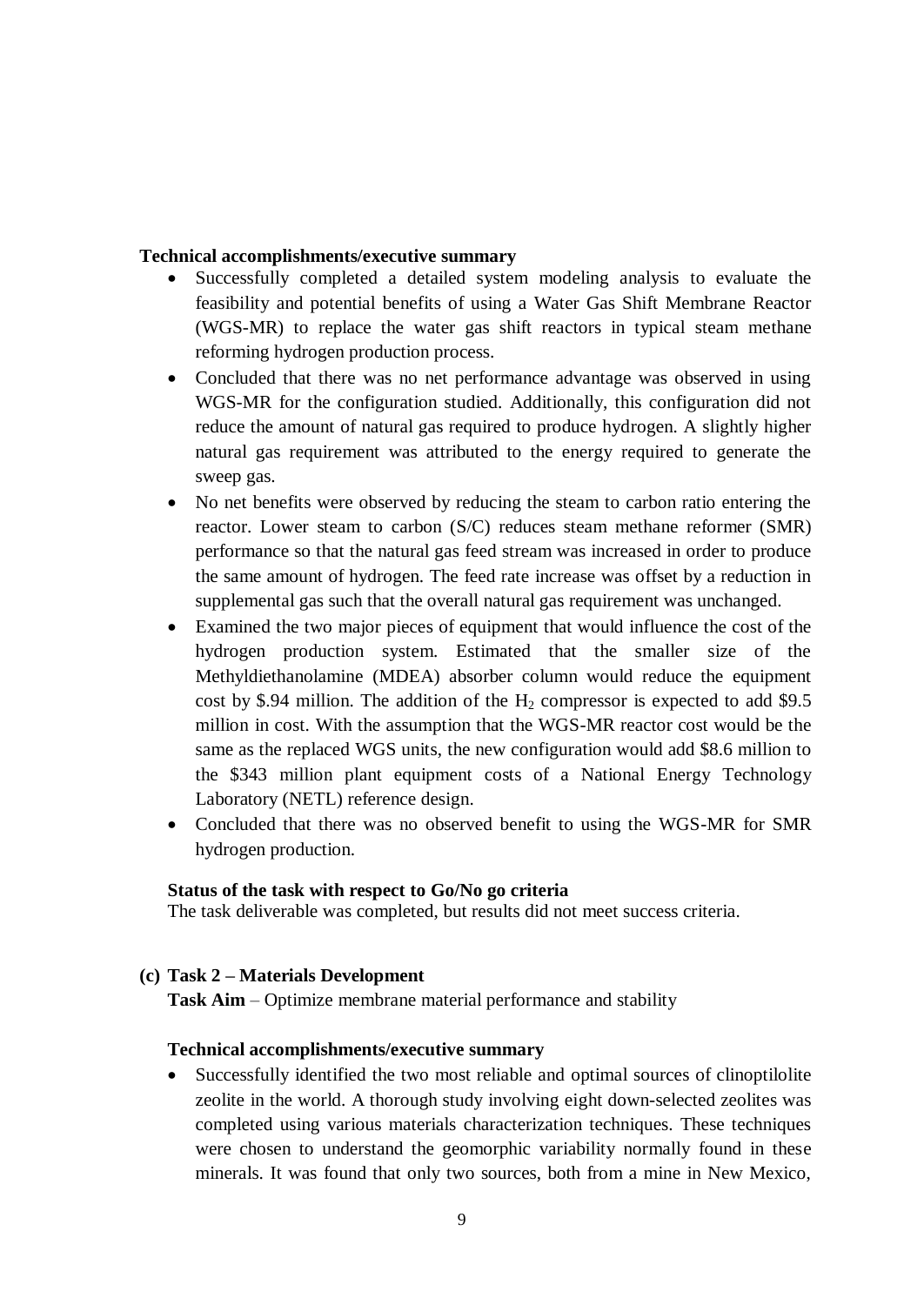### **Technical accomplishments/executive summary**

- Successfully completed a detailed system modeling analysis to evaluate the feasibility and potential benefits of using a Water Gas Shift Membrane Reactor (WGS-MR) to replace the water gas shift reactors in typical steam methane reforming hydrogen production process.
- Concluded that there was no net performance advantage was observed in using WGS-MR for the configuration studied. Additionally, this configuration did not reduce the amount of natural gas required to produce hydrogen. A slightly higher natural gas requirement was attributed to the energy required to generate the sweep gas.
- No net benefits were observed by reducing the steam to carbon ratio entering the reactor. Lower steam to carbon (S/C) reduces steam methane reformer (SMR) performance so that the natural gas feed stream was increased in order to produce the same amount of hydrogen. The feed rate increase was offset by a reduction in supplemental gas such that the overall natural gas requirement was unchanged.
- Examined the two major pieces of equipment that would influence the cost of the hydrogen production system. Estimated that the smaller size of the Methyldiethanolamine (MDEA) absorber column would reduce the equipment cost by \$.94 million. The addition of the  $H_2$  compressor is expected to add \$9.5 million in cost. With the assumption that the WGS-MR reactor cost would be the same as the replaced WGS units, the new configuration would add \$8.6 million to the \$343 million plant equipment costs of a National Energy Technology Laboratory (NETL) reference design.
- Concluded that there was no observed benefit to using the WGS-MR for SMR hydrogen production.

#### **Status of the task with respect to Go/No go criteria**

The task deliverable was completed, but results did not meet success criteria.

# **(c) Task 2 – Materials Development**

**Task Aim** – Optimize membrane material performance and stability

### **Technical accomplishments/executive summary**

 Successfully identified the two most reliable and optimal sources of clinoptilolite zeolite in the world. A thorough study involving eight down-selected zeolites was completed using various materials characterization techniques. These techniques were chosen to understand the geomorphic variability normally found in these minerals. It was found that only two sources, both from a mine in New Mexico,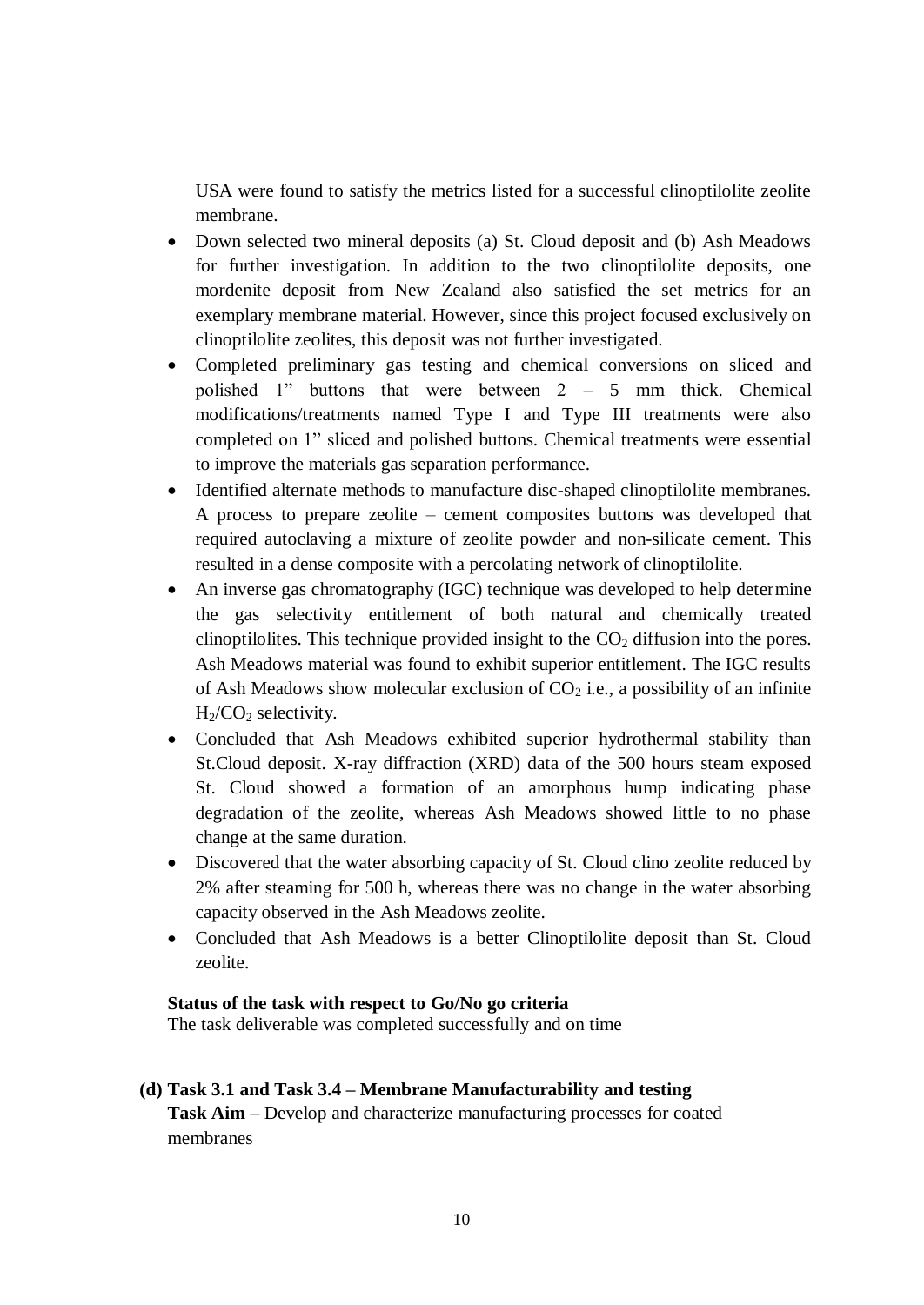USA were found to satisfy the metrics listed for a successful clinoptilolite zeolite membrane.

- Down selected two mineral deposits (a) St. Cloud deposit and (b) Ash Meadows for further investigation. In addition to the two clinoptilolite deposits, one mordenite deposit from New Zealand also satisfied the set metrics for an exemplary membrane material. However, since this project focused exclusively on clinoptilolite zeolites, this deposit was not further investigated.
- Completed preliminary gas testing and chemical conversions on sliced and polished 1" buttons that were between 2 – 5 mm thick. Chemical modifications/treatments named Type I and Type III treatments were also completed on 1" sliced and polished buttons. Chemical treatments were essential to improve the materials gas separation performance.
- Identified alternate methods to manufacture disc-shaped clinoptilolite membranes. A process to prepare zeolite – cement composites buttons was developed that required autoclaving a mixture of zeolite powder and non-silicate cement. This resulted in a dense composite with a percolating network of clinoptilolite.
- An inverse gas chromatography (IGC) technique was developed to help determine the gas selectivity entitlement of both natural and chemically treated clinoptilolites. This technique provided insight to the  $CO<sub>2</sub>$  diffusion into the pores. Ash Meadows material was found to exhibit superior entitlement. The IGC results of Ash Meadows show molecular exclusion of  $CO<sub>2</sub>$  i.e., a possibility of an infinite  $H<sub>2</sub>/CO<sub>2</sub>$  selectivity.
- Concluded that Ash Meadows exhibited superior hydrothermal stability than St.Cloud deposit. X-ray diffraction (XRD) data of the 500 hours steam exposed St. Cloud showed a formation of an amorphous hump indicating phase degradation of the zeolite, whereas Ash Meadows showed little to no phase change at the same duration.
- Discovered that the water absorbing capacity of St. Cloud clino zeolite reduced by 2% after steaming for 500 h, whereas there was no change in the water absorbing capacity observed in the Ash Meadows zeolite.
- Concluded that Ash Meadows is a better Clinoptilolite deposit than St. Cloud zeolite.

# **Status of the task with respect to Go/No go criteria**

The task deliverable was completed successfully and on time

**(d) Task 3.1 and Task 3.4 – Membrane Manufacturability and testing Task Aim** – Develop and characterize manufacturing processes for coated membranes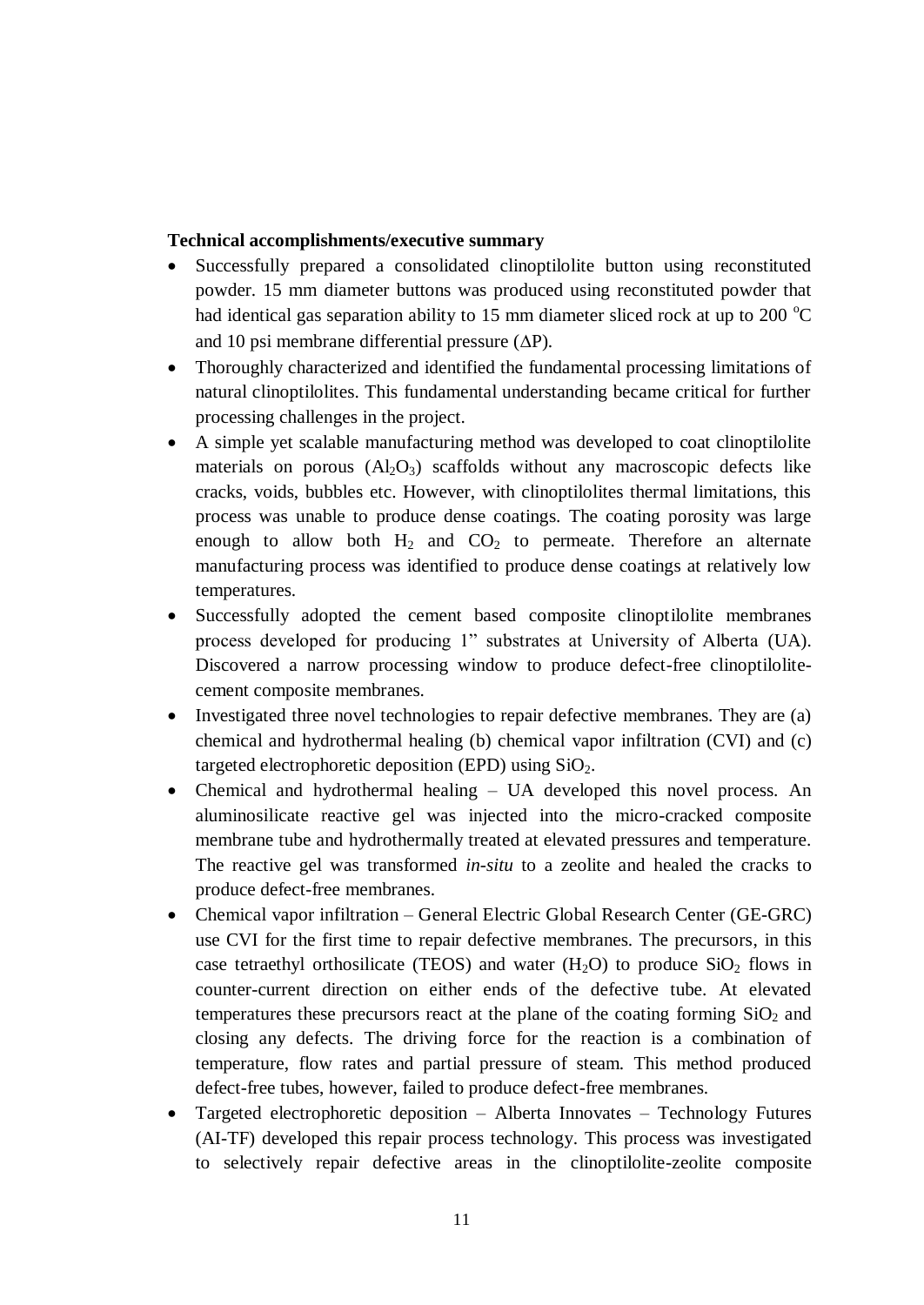# **Technical accomplishments/executive summary**

- Successfully prepared a consolidated clinoptilolite button using reconstituted powder. 15 mm diameter buttons was produced using reconstituted powder that had identical gas separation ability to 15 mm diameter sliced rock at up to 200  $^{\circ}$ C and 10 psi membrane differential pressure  $(\Delta P)$ .
- Thoroughly characterized and identified the fundamental processing limitations of natural clinoptilolites. This fundamental understanding became critical for further processing challenges in the project.
- A simple yet scalable manufacturing method was developed to coat clinoptilolite materials on porous  $(Al_2O_3)$  scaffolds without any macroscopic defects like cracks, voids, bubbles etc. However, with clinoptilolites thermal limitations, this process was unable to produce dense coatings. The coating porosity was large enough to allow both  $H_2$  and  $CO_2$  to permeate. Therefore an alternate manufacturing process was identified to produce dense coatings at relatively low temperatures.
- Successfully adopted the cement based composite clinoptilolite membranes process developed for producing 1" substrates at University of Alberta (UA). Discovered a narrow processing window to produce defect-free clinoptilolitecement composite membranes.
- Investigated three novel technologies to repair defective membranes. They are (a) chemical and hydrothermal healing (b) chemical vapor infiltration (CVI) and (c) targeted electrophoretic deposition (EPD) using  $SiO<sub>2</sub>$ .
- Chemical and hydrothermal healing UA developed this novel process. An aluminosilicate reactive gel was injected into the micro-cracked composite membrane tube and hydrothermally treated at elevated pressures and temperature. The reactive gel was transformed *in-situ* to a zeolite and healed the cracks to produce defect-free membranes.
- Chemical vapor infiltration General Electric Global Research Center (GE-GRC) use CVI for the first time to repair defective membranes. The precursors, in this case tetraethyl orthosilicate (TEOS) and water  $(H_2O)$  to produce  $SiO_2$  flows in counter-current direction on either ends of the defective tube. At elevated temperatures these precursors react at the plane of the coating forming  $SiO<sub>2</sub>$  and closing any defects. The driving force for the reaction is a combination of temperature, flow rates and partial pressure of steam. This method produced defect-free tubes, however, failed to produce defect-free membranes.
- Targeted electrophoretic deposition Alberta Innovates Technology Futures (AI-TF) developed this repair process technology. This process was investigated to selectively repair defective areas in the clinoptilolite-zeolite composite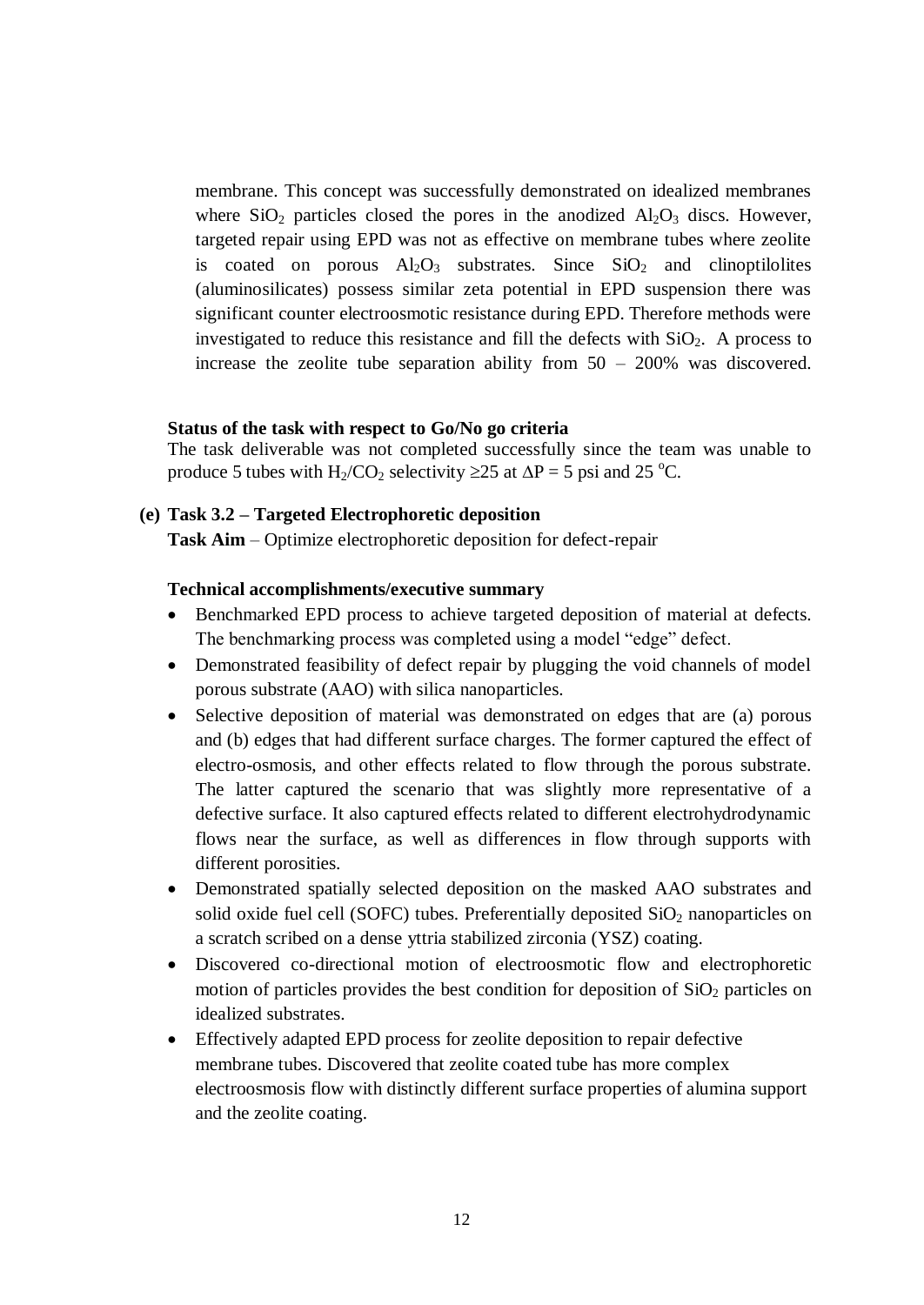membrane. This concept was successfully demonstrated on idealized membranes where  $SiO<sub>2</sub>$  particles closed the pores in the anodized  $Al<sub>2</sub>O<sub>3</sub>$  discs. However, targeted repair using EPD was not as effective on membrane tubes where zeolite is coated on porous  $A_1O_3$  substrates. Since  $SiO_2$  and clinoptilolites (aluminosilicates) possess similar zeta potential in EPD suspension there was significant counter electroosmotic resistance during EPD. Therefore methods were investigated to reduce this resistance and fill the defects with  $SiO<sub>2</sub>$ . A process to increase the zeolite tube separation ability from 50 – 200% was discovered.

#### **Status of the task with respect to Go/No go criteria**

The task deliverable was not completed successfully since the team was unable to produce 5 tubes with H<sub>2</sub>/CO<sub>2</sub> selectivity  $\geq$ 25 at  $\Delta P = 5$  psi and 25 °C.

#### **(e) Task 3.2 – Targeted Electrophoretic deposition**

**Task Aim** – Optimize electrophoretic deposition for defect-repair

### **Technical accomplishments/executive summary**

- Benchmarked EPD process to achieve targeted deposition of material at defects. The benchmarking process was completed using a model "edge" defect.
- Demonstrated feasibility of defect repair by plugging the void channels of model porous substrate (AAO) with silica nanoparticles.
- Selective deposition of material was demonstrated on edges that are (a) porous and (b) edges that had different surface charges. The former captured the effect of electro-osmosis, and other effects related to flow through the porous substrate. The latter captured the scenario that was slightly more representative of a defective surface. It also captured effects related to different electrohydrodynamic flows near the surface, as well as differences in flow through supports with different porosities.
- Demonstrated spatially selected deposition on the masked AAO substrates and solid oxide fuel cell (SOFC) tubes. Preferentially deposited  $SiO<sub>2</sub>$  nanoparticles on a scratch scribed on a dense yttria stabilized zirconia (YSZ) coating.
- Discovered co-directional motion of electroosmotic flow and electrophoretic motion of particles provides the best condition for deposition of  $SiO<sub>2</sub>$  particles on idealized substrates.
- Effectively adapted EPD process for zeolite deposition to repair defective membrane tubes. Discovered that zeolite coated tube has more complex electroosmosis flow with distinctly different surface properties of alumina support and the zeolite coating.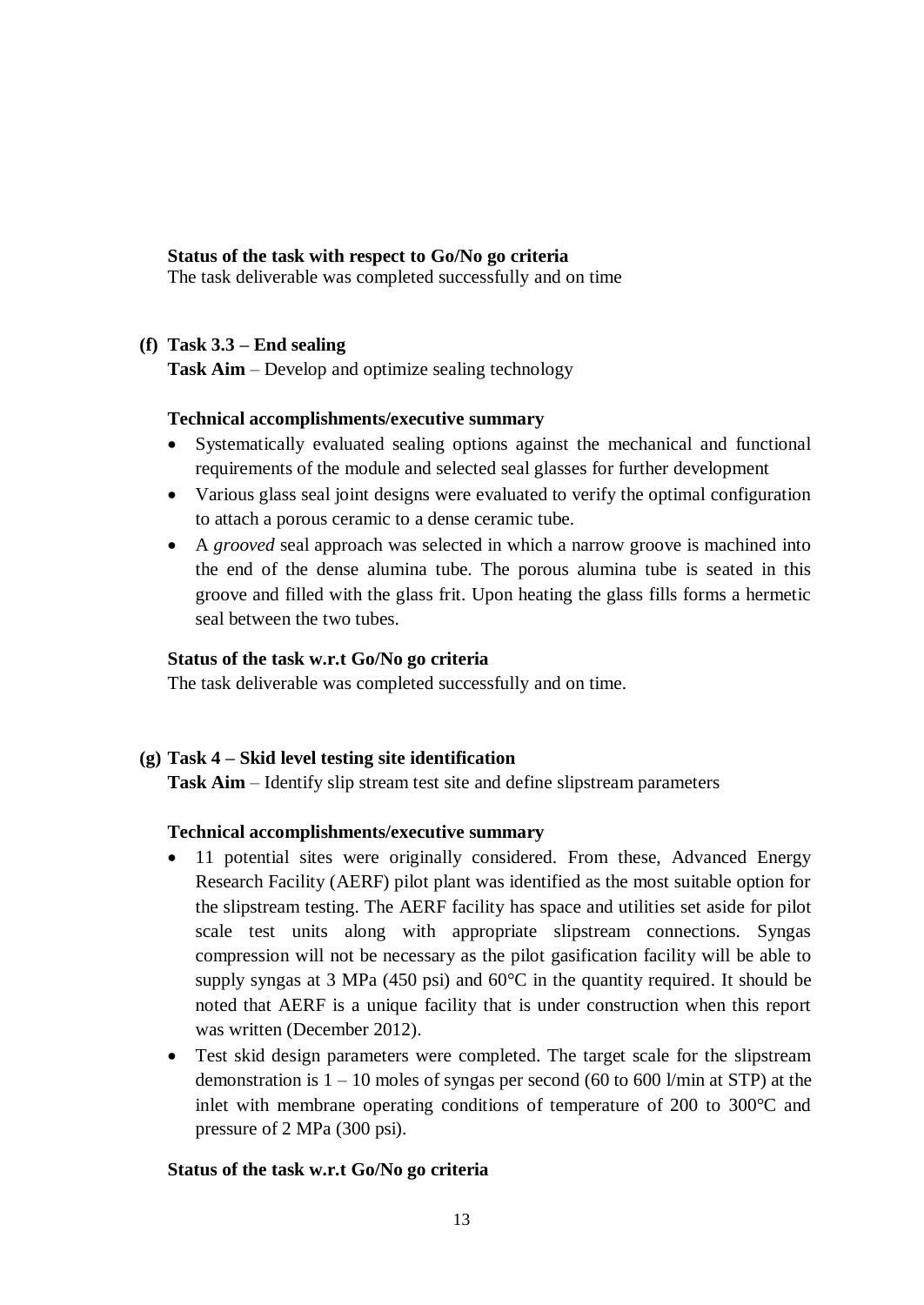# **Status of the task with respect to Go/No go criteria**

The task deliverable was completed successfully and on time

# **(f) Task 3.3 – End sealing**

**Task Aim** – Develop and optimize sealing technology

### **Technical accomplishments/executive summary**

- Systematically evaluated sealing options against the mechanical and functional requirements of the module and selected seal glasses for further development
- Various glass seal joint designs were evaluated to verify the optimal configuration to attach a porous ceramic to a dense ceramic tube.
- A *grooved* seal approach was selected in which a narrow groove is machined into the end of the dense alumina tube. The porous alumina tube is seated in this groove and filled with the glass frit. Upon heating the glass fills forms a hermetic seal between the two tubes.

#### **Status of the task w.r.t Go/No go criteria**

The task deliverable was completed successfully and on time.

# **(g) Task 4 – Skid level testing site identification**

**Task Aim** – Identify slip stream test site and define slipstream parameters

#### **Technical accomplishments/executive summary**

- 11 potential sites were originally considered. From these, Advanced Energy Research Facility (AERF) pilot plant was identified as the most suitable option for the slipstream testing. The AERF facility has space and utilities set aside for pilot scale test units along with appropriate slipstream connections. Syngas compression will not be necessary as the pilot gasification facility will be able to supply syngas at 3 MPa (450 psi) and 60°C in the quantity required. It should be noted that AERF is a unique facility that is under construction when this report was written (December 2012).
- Test skid design parameters were completed. The target scale for the slipstream demonstration is  $1 - 10$  moles of syngas per second (60 to 600 l/min at STP) at the inlet with membrane operating conditions of temperature of 200 to 300°C and pressure of 2 MPa (300 psi).

#### **Status of the task w.r.t Go/No go criteria**